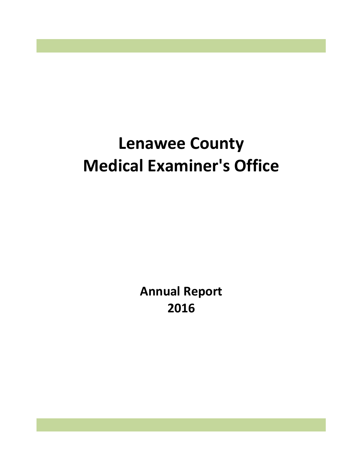# **Lenawee County Medical Examiner's Office**

**Annual Report 2016**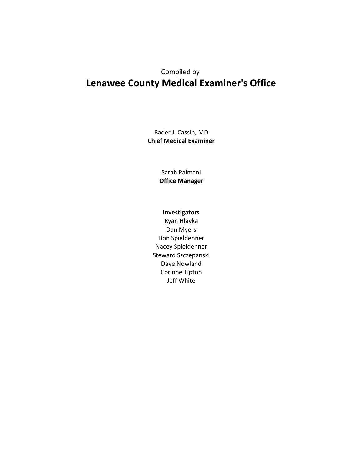## Compiled by **Lenawee County Medical Examiner's Office**

Bader J. Cassin, MD **Chief Medical Examiner**

> Sarah Palmani **Office Manager**

### **Investigators**

Don Spieldenner Nacey Spieldenner Ryan Hlavka Dan Myers Steward Szczepanski Dave Nowland Corinne Tipton Jeff White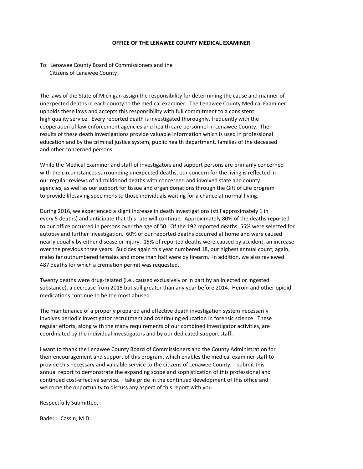#### **OFFICE OF THE LENAWEE COUNTY MEDICAL EXAMINER**

#### To: Lenawee County Board of Commissioners and the Citizens of Lenawee County

 The laws of the State of Michigan assign the responsibility for determining the cause and manner of unexpected deaths in each county to the medical examiner. The Lenawee County Medical Examiner upholds these laws and accepts this responsibility with full commitment to a consistent high quality service. Every reported death is investigated thoroughly, frequently with the cooperation of law enforcement agencies and health care personnel in Lenawee County. The results of these death investigations provide valuable information which is used in professional education and by the criminal justice system, public health department, families of the deceased and other concerned persons.

 While the Medical Examiner and staff of investigators and support persons are primarily concerned with the circumstances surrounding unexpected deaths, our concern for the living is reflected in our regular reviews of all childhood deaths with concerned and involved state and county agencies, as well as our support for tissue and organ donations through the Gift of Life program to provide lifesaving specimens to those individuals waiting for a chance at normal living.

 During 2016, we experienced a slight increase in death investigations (still approximately 1 in every 5 deaths) and anticipate that this rate will continue. Approximately 80% of the deaths reported to our office occurred in persons over the age of 50. Of the 192 reported deaths, 55% were selected for autopsy and further investigation. 60% of our reported deaths occurred at home and were caused nearly equally by either disease or injury. 15% of reported deaths were caused by accident, an increase over the previous three years. Suicides again this year numbered 18, our highest annual count; again, males far outnumbered females and more than half were by firearm. In addition, we also reviewed 487 deaths for which a cremation permit was requested.

 Twenty deaths were drug-related (i.e., caused exclusively or in part by an injected or ingested substance), a decrease from 2015 but still greater than any year before 2014. Heroin and other opioid medications continue to be the most abused.

 The maintenance of a properly prepared and effective death investigation system necessarily involves periodic investigator recruitment and continuing education in forensic science. These regular efforts, along with the many requirements of our combined investigator activities, are coordinated by the individual investigators and by our dedicated support staff.

 I want to thank the Lenawee County Board of Commissioners and the County Administration for their encouragement and support of this program, which enables the medical examiner staff to provide this necessary and valuable service to the citizens of Lenawee County. I submit this annual report to demonstrate the expanding scope and sophistication of this professional and continued cost-effective service. I take pride in the continued development of this office and welcome the opportunity to discuss any aspect of this report with you.

Respectfully Submitted,

Bader J. Cassin, M.D.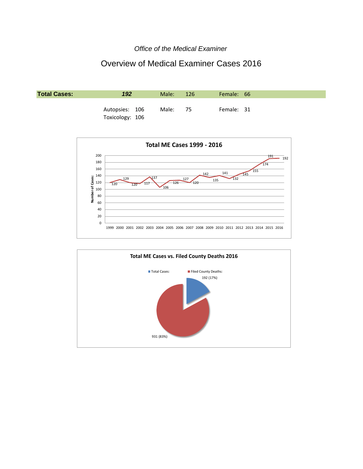#### *Office of the Medical Examiner*

## Overview of Medical Examiner Cases 2016





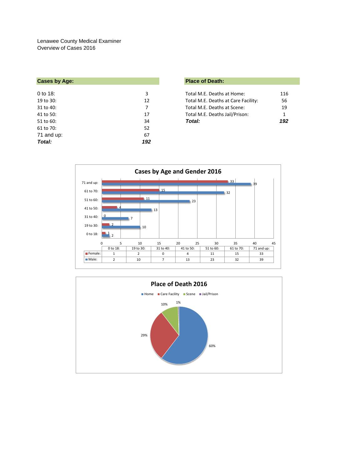| <b>Place of Death:</b>                    |
|-------------------------------------------|
|                                           |
| Total M.E. Deaths at Home:<br>116         |
| Total M.E. Deaths at Care Facility:<br>56 |
| 19<br>Total M.E. Deaths at Scene:         |
| Total M.E. Deaths Jail/Prison:<br>1       |
| 192<br>Total:                             |
|                                           |
|                                           |
|                                           |
|                                           |

| Place of Death: |  |
|-----------------|--|
|-----------------|--|

| Total M.E. Deaths at Home:          | 116 |
|-------------------------------------|-----|
| Total M.E. Deaths at Care Facility: | 56  |
| Total M.E. Deaths at Scene:         | 19  |
| Total M.E. Deaths Jail/Prison:      | 1   |
| Total:                              | 192 |



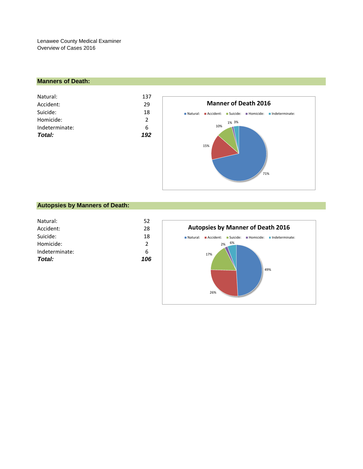#### **Manners of Death:**

| Natural:<br>Accident: | 137<br>29     |
|-----------------------|---------------|
| Suicide:              | 18            |
| Homicide:             | $\mathcal{P}$ |
| Indeterminate:        | 6             |
| Total:                | 192           |
|                       |               |



#### **Autopsies by Manners of Death:**

| Total:         | 106           |
|----------------|---------------|
| Indeterminate: | 6             |
| Homicide:      | $\mathcal{P}$ |
| Suicide:       | 18            |
| Accident:      | 28            |
| Natural:       | 52            |
|                |               |

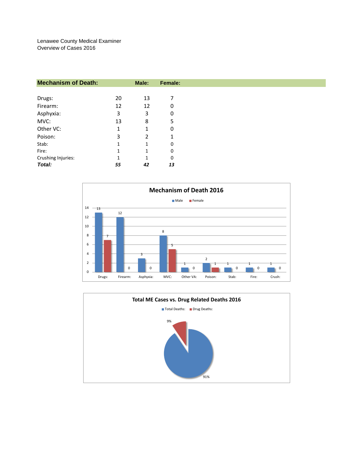| <b>Mechanism of Death:</b> |    | Male: | Female: |
|----------------------------|----|-------|---------|
|                            |    |       |         |
| Drugs:                     | 20 | 13    | 7       |
| Firearm:                   | 12 | 12    | 0       |
| Asphyxia:                  | 3  | 3     | 0       |
| MVC:                       | 13 | 8     | 5       |
| Other VC:                  | 1  | 1     | 0       |
| Poison:                    | 3  | 2     | 1       |
| Stab:                      | 1  | 1     | 0       |
| Fire:                      | 1  | 1     | 0       |
| Crushing Injuries:         | 1  | 1     | 0       |
| Total:                     | 55 | 42    | 13      |



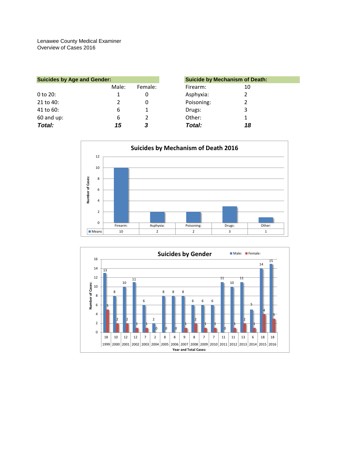| <b>Suicides by Age and Gender:</b> |       |         | <b>Suicide by Mechanism of Death:</b> |    |
|------------------------------------|-------|---------|---------------------------------------|----|
|                                    | Male: | Female: | Firearm:                              | 10 |
| $0$ to 20:                         |       | 0       | Asphyxia:                             |    |
| 21 to 40:                          |       | 0       | Poisoning:                            |    |
| 41 to 60:                          | 6     |         | Drugs:                                |    |
| $60$ and up:                       | 6     |         | Other:                                |    |
| Total:                             | 15    | 3       | Total:                                | 18 |



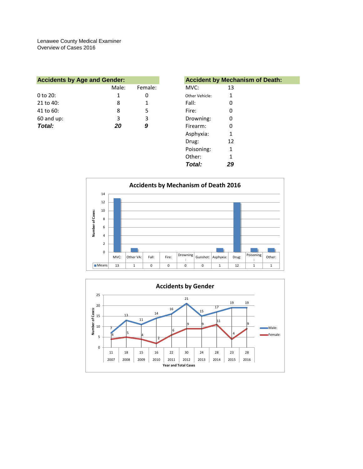| <b>Accidents by Age and Gender:</b> |       |         |                | <b>Accident by Mechanism of Death:</b> |  |
|-------------------------------------|-------|---------|----------------|----------------------------------------|--|
|                                     | Male: | Female: | MVC:           | 13                                     |  |
| $0$ to $20$ :                       |       |         | Other Vehicle: |                                        |  |
| 21 to 40:                           | 8     |         | Fall:          |                                        |  |
| 41 to 60:                           | 8     | 5       | Fire:          |                                        |  |
| $60$ and up:                        | 3     | 3       | Drowning:      |                                        |  |
| Total:                              | 20    | 9       | Firearm:       |                                        |  |
|                                     |       |         | Asnhwyia.      |                                        |  |

|         | <b>Accident by Mechanism of Death:</b> |
|---------|----------------------------------------|
| Female: | MVC:<br>13                             |
| 0       | 1<br>Other Vehicle:                    |
| 1       | Fall:<br>0                             |
| 5       | Fire:<br>0                             |
| 3       | Drowning:<br>0                         |
| 9       | Firearm:<br>0                          |
|         | Asphyxia:<br>1                         |
|         | 12<br>Drug:                            |
|         | Poisoning:<br>1                        |
|         | Other:<br>1                            |
|         | Total:<br>29                           |
|         |                                        |